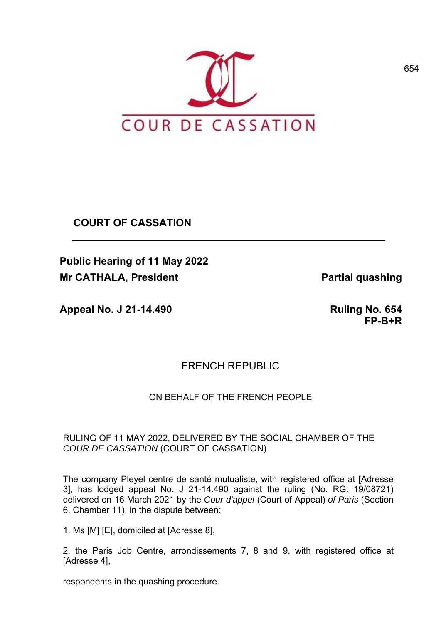

**COURT OF CASSATION**

**Public Hearing of 11 May 2022 Mr CATHALA, President Catalogue 2018 1998 Partial quashing** 

**Appeal No. J 21-14.490 Ruling No. 654** 

**FP-B+R**

# FRENCH REPUBLIC

# ON BEHALF OF THE FRENCH PEOPLE.

## RULING OF 11 MAY 2022, DELIVERED BY THE SOCIAL CHAMBER OF THE *COUR DE CASSATION* (COURT OF CASSATION)

The company Pleyel centre de santé mutualiste, with registered office at [Adresse 3], has lodged appeal No. J 21-14.490 against the ruling (No. RG: 19/08721) delivered on 16 March 2021 by the *Cour d'appel* (Court of Appeal) *of Paris* (Section 6, Chamber 11), in the dispute between:

1. Ms [M] [E], domiciled at [Adresse 8],

2. the Paris Job Centre, arrondissements 7, 8 and 9, with registered office at [Adresse 4],

respondents in the quashing procedure.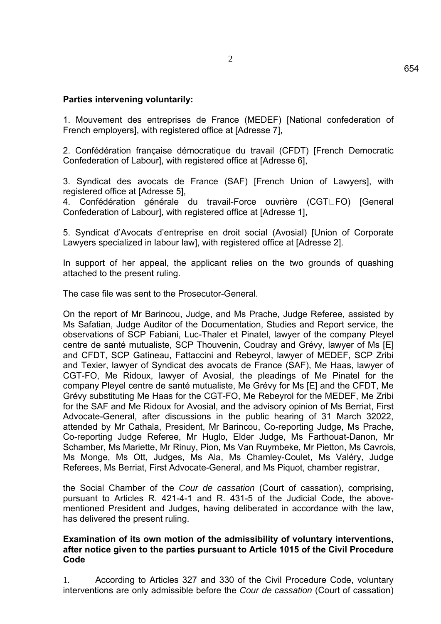## **Parties intervening voluntarily:**

1. Mouvement des entreprises de France (MEDEF) [National confederation of French employers], with registered office at [Adresse 7],

2. Confédération française démocratique du travail (CFDT) [French Democratic Confederation of Labour], with registered office at [Adresse 6],

3. Syndicat des avocats de France (SAF) [French Union of Lawyers], with registered office at [Adresse 5],

4. Confédération générale du travail-Force ouvrière (CGTIFO) [General Confederation of Labour], with registered office at [Adresse 1],

5. Syndicat d'Avocats d'entreprise en droit social (Avosial) [Union of Corporate Lawyers specialized in labour law], with registered office at [Adresse 2].

In support of her appeal, the applicant relies on the two grounds of quashing attached to the present ruling.

The case file was sent to the Prosecutor-General.

On the report of Mr Barincou, Judge, and Ms Prache, Judge Referee, assisted by Ms Safatian, Judge Auditor of the Documentation, Studies and Report service, the observations of SCP Fabiani, Luc-Thaler et Pinatel, lawyer of the company Pleyel centre de santé mutualiste, SCP Thouvenin, Coudray and Grévy, lawyer of Ms [E] and CFDT, SCP Gatineau, Fattaccini and Rebeyrol, lawyer of MEDEF, SCP Zribi and Texier, lawyer of Syndicat des avocats de France (SAF), Me Haas, lawyer of CGT-FO, Me Ridoux, lawyer of Avosial, the pleadings of Me Pinatel for the company Pleyel centre de santé mutualiste, Me Grévy for Ms [E] and the CFDT, Me Grévy substituting Me Haas for the CGT-FO, Me Rebeyrol for the MEDEF, Me Zribi for the SAF and Me Ridoux for Avosial, and the advisory opinion of Ms Berriat, First Advocate-General, after discussions in the public hearing of 31 March 32022, attended by Mr Cathala, President, Mr Barincou, Co-reporting Judge, Ms Prache, Co-reporting Judge Referee, Mr Huglo, Elder Judge, Ms Farthouat-Danon, Mr Schamber, Ms Mariette, Mr Rinuy, Pion, Ms Van Ruymbeke, Mr Pietton, Ms Cavrois, Ms Monge, Ms Ott, Judges, Ms Ala, Ms Chamley-Coulet, Ms Valéry, Judge Referees, Ms Berriat, First Advocate-General, and Ms Piquot, chamber registrar,

the Social Chamber of the *Cour de cassation* (Court of cassation), comprising, pursuant to Articles R. 421-4-1 and R. 431-5 of the Judicial Code, the abovementioned President and Judges, having deliberated in accordance with the law, has delivered the present ruling.

#### **Examination of its own motion of the admissibility of voluntary interventions, after notice given to the parties pursuant to Article 1015 of the Civil Procedure Code**

1. According to Articles 327 and 330 of the Civil Procedure Code, voluntary interventions are only admissible before the *Cour de cassation* (Court of cassation)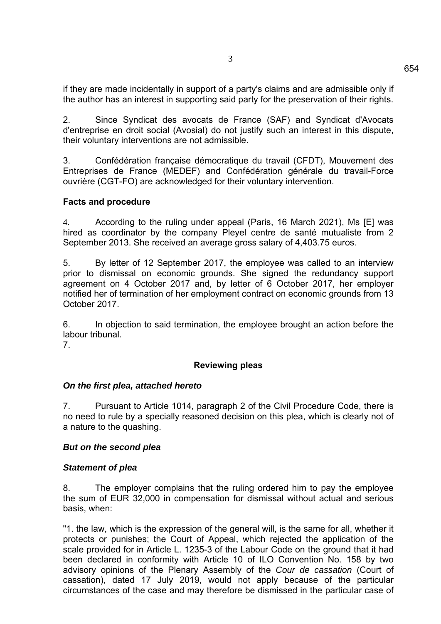if they are made incidentally in support of a party's claims and are admissible only if the author has an interest in supporting said party for the preservation of their rights.

2. Since Syndicat des avocats de France (SAF) and Syndicat d'Avocats d'entreprise en droit social (Avosial) do not justify such an interest in this dispute, their voluntary interventions are not admissible.

3. Confédération française démocratique du travail (CFDT), Mouvement des Entreprises de France (MEDEF) and Confédération générale du travail-Force ouvrière (CGT-FO) are acknowledged for their voluntary intervention.

## **Facts and procedure**

4. According to the ruling under appeal (Paris, 16 March 2021), Ms [E] was hired as coordinator by the company Pleyel centre de santé mutualiste from 2 September 2013. She received an average gross salary of 4,403.75 euros.

5. By letter of 12 September 2017, the employee was called to an interview prior to dismissal on economic grounds. She signed the redundancy support agreement on 4 October 2017 and, by letter of 6 October 2017, her employer notified her of termination of her employment contract on economic grounds from 13 October 2017.

6. In objection to said termination, the employee brought an action before the labour tribunal.

7.

### **Reviewing pleas**

### *On the first plea, attached hereto*

7. Pursuant to Article 1014, paragraph 2 of the Civil Procedure Code, there is no need to rule by a specially reasoned decision on this plea, which is clearly not of a nature to the quashing.

#### *But on the second plea*

#### *Statement of plea*

8. The employer complains that the ruling ordered him to pay the employee the sum of EUR 32,000 in compensation for dismissal without actual and serious basis, when:

"1. the law, which is the expression of the general will, is the same for all, whether it protects or punishes; the Court of Appeal, which rejected the application of the scale provided for in Article L. 1235-3 of the Labour Code on the ground that it had been declared in conformity with Article 10 of ILO Convention No. 158 by two advisory opinions of the Plenary Assembly of the *Cour de cassation* (Court of cassation), dated 17 July 2019, would not apply because of the particular circumstances of the case and may therefore be dismissed in the particular case of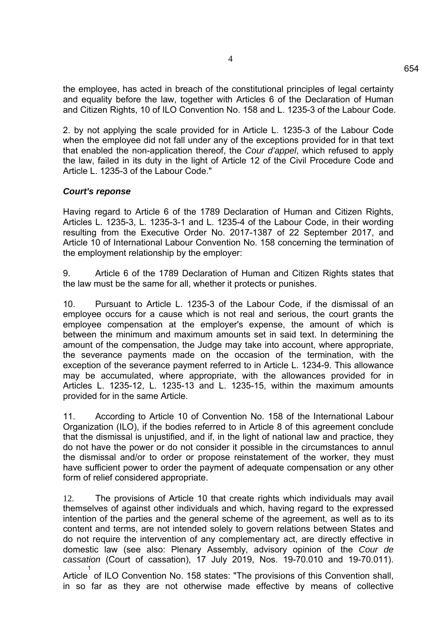the employee, has acted in breach of the constitutional principles of legal certainty and equality before the law, together with Articles 6 of the Declaration of Human and Citizen Rights, 10 of ILO Convention No. 158 and L. 1235-3 of the Labour Code.

2. by not applying the scale provided for in Article L. 1235-3 of the Labour Code when the employee did not fall under any of the exceptions provided for in that text that enabled the non-application thereof, the *Cour d'appel*, which refused to apply the law, failed in its duty in the light of Article 12 of the Civil Procedure Code and Article L. 1235-3 of the Labour Code."

#### *Court's reponse*

Having regard to Article 6 of the 1789 Declaration of Human and Citizen Rights, Articles L. 1235-3, L. 1235-3-1 and L. 1235-4 of the Labour Code, in their wording resulting from the Executive Order No. 2017-1387 of 22 September 2017, and Article 10 of International Labour Convention No. 158 concerning the termination of the employment relationship by the employer:

9. Article 6 of the 1789 Declaration of Human and Citizen Rights states that the law must be the same for all, whether it protects or punishes.

10. Pursuant to Article L. 1235-3 of the Labour Code, if the dismissal of an employee occurs for a cause which is not real and serious, the court grants the employee compensation at the employer's expense, the amount of which is between the minimum and maximum amounts set in said text. In determining the amount of the compensation, the Judge may take into account, where appropriate, the severance payments made on the occasion of the termination, with the exception of the severance payment referred to in Article L. 1234-9. This allowance may be accumulated, where appropriate, with the allowances provided for in Articles L. 1235-12, L. 1235-13 and L. 1235-15, within the maximum amounts provided for in the same Article.

11. According to Article 10 of Convention No. 158 of the International Labour Organization (ILO), if the bodies referred to in Article 8 of this agreement conclude that the dismissal is unjustified, and if, in the light of national law and practice, they do not have the power or do not consider it possible in the circumstances to annul the dismissal and/or to order or propose reinstatement of the worker, they must have sufficient power to order the payment of adequate compensation or any other form of relief considered appropriate.

12. The provisions of Article 10 that create rights which individuals may avail themselves of against other individuals and which, having regard to the expressed intention of the parties and the general scheme of the agreement, as well as to its content and terms, are not intended solely to govern relations between States and do not require the intervention of any complementary act, are directly effective in domestic law (see also: Plenary Assembly, advisory opinion of the *Cour de cassation* (Court of cassation), 17 July 2019, Nos. 19-70.010 and 19-70.011).

Article of ILO Convention No. 158 states: "The provisions of this Convention shall, 1 in so far as they are not otherwise made effective by means of collective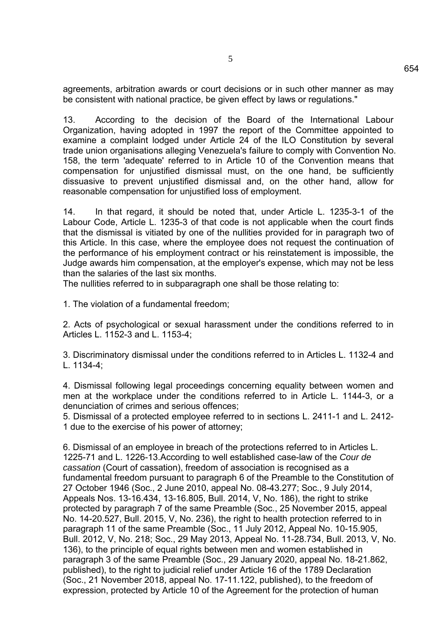agreements, arbitration awards or court decisions or in such other manner as may be consistent with national practice, be given effect by laws or regulations."

13. According to the decision of the Board of the International Labour Organization, having adopted in 1997 the report of the Committee appointed to examine a complaint lodged under Article 24 of the ILO Constitution by several trade union organisations alleging Venezuela's failure to comply with Convention No. 158, the term 'adequate' referred to in Article 10 of the Convention means that compensation for unjustified dismissal must, on the one hand, be sufficiently dissuasive to prevent unjustified dismissal and, on the other hand, allow for reasonable compensation for unjustified loss of employment.

14. In that regard, it should be noted that, under Article L. 1235-3-1 of the Labour Code, Article L. 1235-3 of that code is not applicable when the court finds that the dismissal is vitiated by one of the nullities provided for in paragraph two of this Article. In this case, where the employee does not request the continuation of the performance of his employment contract or his reinstatement is impossible, the Judge awards him compensation, at the employer's expense, which may not be less than the salaries of the last six months.

The nullities referred to in subparagraph one shall be those relating to:

1. The violation of a fundamental freedom;

2. Acts of psychological or sexual harassment under the conditions referred to in Articles L. 1152-3 and L. 1153-4;

3. Discriminatory dismissal under the conditions referred to in Articles L. 1132-4 and L. 1134-4;

4. Dismissal following legal proceedings concerning equality between women and men at the workplace under the conditions referred to in Article L. 1144-3, or a denunciation of crimes and serious offences;

5. Dismissal of a protected employee referred to in sections L. 2411-1 and L. 2412- 1 due to the exercise of his power of attorney;

6. Dismissal of an employee in breach of the protections referred to in Articles L. 1225-71 and L. 1226-13.According to well established case-law of the *Cour de cassation* (Court of cassation), freedom of association is recognised as a fundamental freedom pursuant to paragraph 6 of the Preamble to the Constitution of 27 October 1946 (Soc., 2 June 2010, appeal No. 08-43.277; Soc., 9 July 2014, Appeals Nos. 13-16.434, 13-16.805, Bull. 2014, V, No. 186), the right to strike protected by paragraph 7 of the same Preamble (Soc., 25 November 2015, appeal No. 14-20.527, Bull. 2015, V, No. 236), the right to health protection referred to in paragraph 11 of the same Preamble (Soc., 11 July 2012, Appeal No. 10-15.905, Bull. 2012, V, No. 218; Soc., 29 May 2013, Appeal No. 11-28.734, Bull. 2013, V, No. 136), to the principle of equal rights between men and women established in paragraph 3 of the same Preamble (Soc., 29 January 2020, appeal No. 18-21.862, published), to the right to judicial relief under Article 16 of the 1789 Declaration (Soc., 21 November 2018, appeal No. 17-11.122, published), to the freedom of expression, protected by Article 10 of the Agreement for the protection of human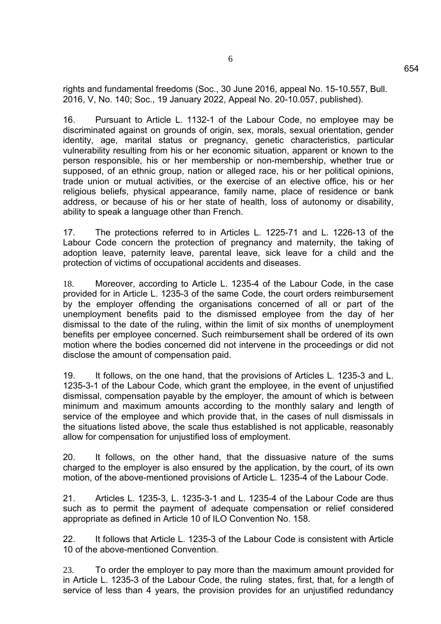rights and fundamental freedoms (Soc., 30 June 2016, appeal No. 15-10.557, Bull. 2016, V, No. 140; Soc., 19 January 2022, Appeal No. 20-10.057, published).

16. Pursuant to Article L. 1132-1 of the Labour Code, no employee may be discriminated against on grounds of origin, sex, morals, sexual orientation, gender identity, age, marital status or pregnancy, genetic characteristics, particular vulnerability resulting from his or her economic situation, apparent or known to the person responsible, his or her membership or non-membership, whether true or supposed, of an ethnic group, nation or alleged race, his or her political opinions, trade union or mutual activities, or the exercise of an elective office, his or her religious beliefs, physical appearance, family name, place of residence or bank address, or because of his or her state of health, loss of autonomy or disability, ability to speak a language other than French.

17. The protections referred to in Articles L. 1225-71 and L. 1226-13 of the Labour Code concern the protection of pregnancy and maternity, the taking of adoption leave, paternity leave, parental leave, sick leave for a child and the protection of victims of occupational accidents and diseases.

18. Moreover, according to Article L. 1235-4 of the Labour Code, in the case provided for in Article L. 1235-3 of the same Code, the court orders reimbursement by the employer offending the organisations concerned of all or part of the unemployment benefits paid to the dismissed employee from the day of her dismissal to the date of the ruling, within the limit of six months of unemployment benefits per employee concerned. Such reimbursement shall be ordered of its own motion where the bodies concerned did not intervene in the proceedings or did not disclose the amount of compensation paid.

19. It follows, on the one hand, that the provisions of Articles L. 1235-3 and L. 1235-3-1 of the Labour Code, which grant the employee, in the event of unjustified dismissal, compensation payable by the employer, the amount of which is between minimum and maximum amounts according to the monthly salary and length of service of the employee and which provide that, in the cases of null dismissals in the situations listed above, the scale thus established is not applicable, reasonably allow for compensation for unjustified loss of employment.

20. It follows, on the other hand, that the dissuasive nature of the sums charged to the employer is also ensured by the application, by the court, of its own motion, of the above-mentioned provisions of Article L. 1235-4 of the Labour Code.

21. Articles L. 1235-3, L. 1235-3-1 and L. 1235-4 of the Labour Code are thus such as to permit the payment of adequate compensation or relief considered appropriate as defined in Article 10 of ILO Convention No. 158.

22. It follows that Article L. 1235-3 of the Labour Code is consistent with Article 10 of the above-mentioned Convention.

23. To order the employer to pay more than the maximum amount provided for in Article L. 1235-3 of the Labour Code, the ruling states, first, that, for a length of service of less than 4 years, the provision provides for an unjustified redundancy